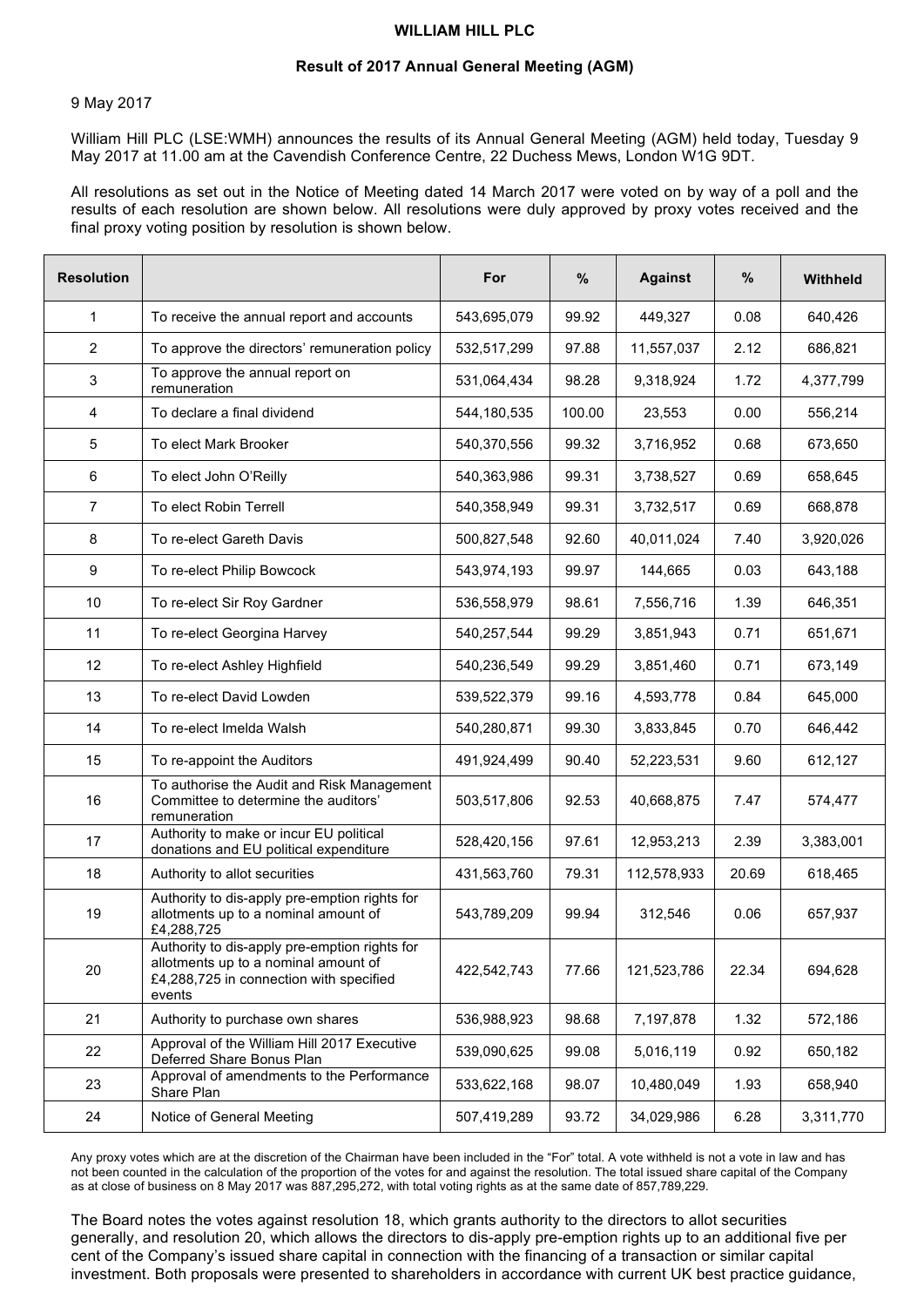## **WILLIAM HILL PLC**

## **Result of 2017 Annual General Meeting (AGM)**

## 9 May 2017

William Hill PLC (LSE:WMH) announces the results of its Annual General Meeting (AGM) held today, Tuesday 9 May 2017 at 11.00 am at the Cavendish Conference Centre, 22 Duchess Mews, London W1G 9DT.

All resolutions as set out in the Notice of Meeting dated 14 March 2017 were voted on by way of a poll and the results of each resolution are shown below. All resolutions were duly approved by proxy votes received and the final proxy voting position by resolution is shown below.

| <b>Resolution</b> |                                                                                                                                            | For         | $\%$   | <b>Against</b> | %     | <b>Withheld</b> |
|-------------------|--------------------------------------------------------------------------------------------------------------------------------------------|-------------|--------|----------------|-------|-----------------|
| $\mathbf{1}$      | To receive the annual report and accounts                                                                                                  | 543,695,079 | 99.92  | 449,327        | 0.08  | 640,426         |
| $\overline{2}$    | To approve the directors' remuneration policy                                                                                              | 532,517,299 | 97.88  | 11,557,037     | 2.12  | 686,821         |
| 3                 | To approve the annual report on<br>remuneration                                                                                            | 531,064,434 | 98.28  | 9,318,924      | 1.72  | 4,377,799       |
| 4                 | To declare a final dividend                                                                                                                | 544,180,535 | 100.00 | 23,553         | 0.00  | 556,214         |
| 5                 | To elect Mark Brooker                                                                                                                      | 540,370,556 | 99.32  | 3,716,952      | 0.68  | 673,650         |
| 6                 | To elect John O'Reilly                                                                                                                     | 540,363,986 | 99.31  | 3,738,527      | 0.69  | 658,645         |
| 7                 | To elect Robin Terrell                                                                                                                     | 540,358,949 | 99.31  | 3,732,517      | 0.69  | 668,878         |
| 8                 | To re-elect Gareth Davis                                                                                                                   | 500,827,548 | 92.60  | 40,011,024     | 7.40  | 3,920,026       |
| 9                 | To re-elect Philip Bowcock                                                                                                                 | 543,974,193 | 99.97  | 144,665        | 0.03  | 643,188         |
| 10                | To re-elect Sir Roy Gardner                                                                                                                | 536,558,979 | 98.61  | 7,556,716      | 1.39  | 646,351         |
| 11                | To re-elect Georgina Harvey                                                                                                                | 540,257,544 | 99.29  | 3,851,943      | 0.71  | 651,671         |
| 12                | To re-elect Ashley Highfield                                                                                                               | 540,236,549 | 99.29  | 3,851,460      | 0.71  | 673,149         |
| 13                | To re-elect David Lowden                                                                                                                   | 539,522,379 | 99.16  | 4,593,778      | 0.84  | 645,000         |
| 14                | To re-elect Imelda Walsh                                                                                                                   | 540,280,871 | 99.30  | 3,833,845      | 0.70  | 646,442         |
| 15                | To re-appoint the Auditors                                                                                                                 | 491,924,499 | 90.40  | 52,223,531     | 9.60  | 612,127         |
| 16                | To authorise the Audit and Risk Management<br>Committee to determine the auditors'<br>remuneration                                         | 503,517,806 | 92.53  | 40,668,875     | 7.47  | 574,477         |
| 17                | Authority to make or incur EU political<br>donations and EU political expenditure                                                          | 528,420,156 | 97.61  | 12,953,213     | 2.39  | 3,383,001       |
| 18                | Authority to allot securities                                                                                                              | 431,563,760 | 79.31  | 112,578,933    | 20.69 | 618,465         |
| 19                | Authority to dis-apply pre-emption rights for<br>allotments up to a nominal amount of<br>£4,288,725                                        | 543,789,209 | 99.94  | 312,546        | 0.06  | 657,937         |
| 20                | Authority to dis-apply pre-emption rights for<br>allotments up to a nominal amount of<br>£4,288,725 in connection with specified<br>events | 422,542,743 | 77.66  | 121,523,786    | 22.34 | 694,628         |
| 21                | Authority to purchase own shares                                                                                                           | 536,988,923 | 98.68  | 7,197,878      | 1.32  | 572,186         |
| 22                | Approval of the William Hill 2017 Executive<br>Deferred Share Bonus Plan                                                                   | 539,090,625 | 99.08  | 5,016,119      | 0.92  | 650,182         |
| 23                | Approval of amendments to the Performance<br>Share Plan                                                                                    | 533,622,168 | 98.07  | 10,480,049     | 1.93  | 658,940         |
| 24                | Notice of General Meeting                                                                                                                  | 507,419,289 | 93.72  | 34,029,986     | 6.28  | 3,311,770       |

Any proxy votes which are at the discretion of the Chairman have been included in the "For" total. A vote withheld is not a vote in law and has not been counted in the calculation of the proportion of the votes for and against the resolution. The total issued share capital of the Company as at close of business on 8 May 2017 was 887,295,272, with total voting rights as at the same date of 857,789,229.

The Board notes the votes against resolution 18, which grants authority to the directors to allot securities generally, and resolution 20, which allows the directors to dis-apply pre-emption rights up to an additional five per cent of the Company's issued share capital in connection with the financing of a transaction or similar capital investment. Both proposals were presented to shareholders in accordance with current UK best practice guidance, including the relevant guidelines published by the Pre-Emption Group. The Board understands that the votes